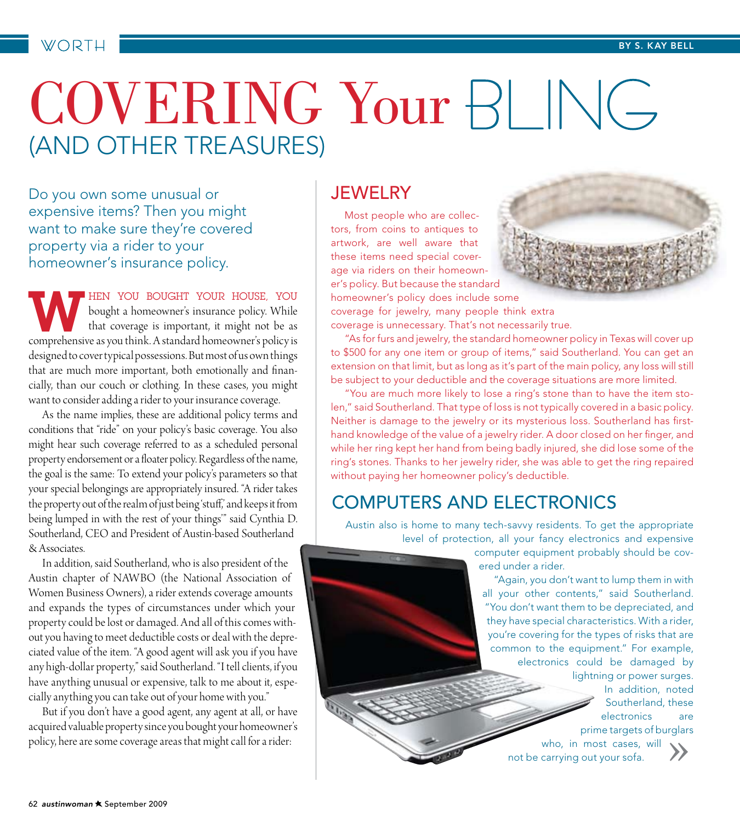# COVERING Your BLING (and Other Treasures)

Do you own some unusual or expensive items? Then you might want to make sure they're covered property via a rider to your homeowner's insurance policy.

**WHEN YOU BOUGHT YOUR HOUSE, YOU**<br>bought a homeowner's insurance policy. While<br>that coverage is important, it might not be as<br>comprehensive as you think. A standard homeowner's policy is bought a homeowner's insurance policy. While that coverage is important, it might not be as comprehensive as you think. A standard homeowner's policy is designed to cover typical possessions. But most of us own things that are much more important, both emotionally and financially, than our couch or clothing. In these cases, you might want to consider adding a rider to your insurance coverage.

As the name implies, these are additional policy terms and conditions that "ride" on your policy's basic coverage. You also might hear such coverage referred to as a scheduled personal property endorsement or a floater policy. Regardless of the name, the goal is the same: To extend your policy's parameters so that your special belongings are appropriately insured. "A rider takes the property out of the realm of just being 'stuff,' and keeps it from being lumped in with the rest of your things'" said Cynthia D. Southerland, CEO and President of Austin-based Southerland & Associates.

In addition, said Southerland, who is also president of the Austin chapter of NAWBO (the National Association of Women Business Owners), a rider extends coverage amounts and expands the types of circumstances under which your property could be lost or damaged. And all of this comes without you having to meet deductible costs or deal with the depreciated value of the item. "A good agent will ask you if you have any high-dollar property," said Southerland. "I tell clients, if you have anything unusual or expensive, talk to me about it, especially anything you can take out of your home with you."

But if you don't have a good agent, any agent at all, or have acquired valuable property since you bought your homeowner's policy, here are some coverage areas that might call for a rider:

#### **JEWELRY**

Most people who are collectors, from coins to antiques to artwork, are well aware that these items need special coverage via riders on their homeowner's policy. But because the standard homeowner's policy does include some coverage for jewelry, many people think extra coverage is unnecessary. That's not necessarily true.

"As for furs and jewelry, the standard homeowner policy in Texas will cover up to \$500 for any one item or group of items," said Southerland. You can get an extension on that limit, but as long as it's part of the main policy, any loss will still be subject to your deductible and the coverage situations are more limited.

"You are much more likely to lose a ring's stone than to have the item stolen," said Southerland. That type of loss is not typically covered in a basic policy. Neither is damage to the jewelry or its mysterious loss. Southerland has firsthand knowledge of the value of a jewelry rider. A door closed on her finger, and while her ring kept her hand from being badly injured, she did lose some of the ring's stones. Thanks to her jewelry rider, she was able to get the ring repaired without paying her homeowner policy's deductible.

#### Computers and Electronics

Austin also is home to many tech-savvy residents. To get the appropriate level of protection, all your fancy electronics and expensive

> computer equipment probably should be covered under a rider.

"Again, you don't want to lump them in with all your other contents," said Southerland. "You don't want them to be depreciated, and they have special characteristics. With a rider, you're covering for the types of risks that are common to the equipment." For example, electronics could be damaged by lightning or power surges. In addition, noted Southerland, these electronics are prime targets of burglars

who, in most cases, will

not be carrying out your sofa.